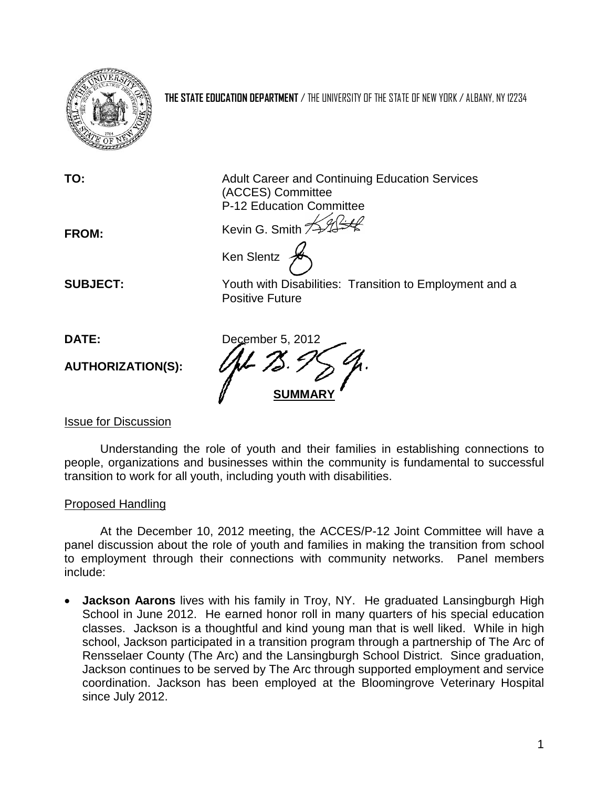

**THE STATE EDUCATION DEPARTMENT** / THE UNIVERSITY OF THE STATE OF NEW YORK / ALBANY, NY 12234

**TO:** Adult Career and Continuing Education Services (ACCES) Committee P-12 Education Committee

**FROM:** Kevin G. Smith  $\frac{1}{2}$ 

**SUBJECT:** Youth with Disabilities: Transition to Employment and a Positive Future

**AUTHORIZATION(S):**

**DATE:** December 5, 2012 **SUMMARY**

Ken Slentz

## Issue for Discussion

Understanding the role of youth and their families in establishing connections to people, organizations and businesses within the community is fundamental to successful transition to work for all youth, including youth with disabilities.

## Proposed Handling

At the December 10, 2012 meeting, the ACCES/P-12 Joint Committee will have a panel discussion about the role of youth and families in making the transition from school to employment through their connections with community networks. Panel members include:

• **Jackson Aarons** lives with his family in Troy, NY. He graduated Lansingburgh High School in June 2012. He earned honor roll in many quarters of his special education classes. Jackson is a thoughtful and kind young man that is well liked. While in high school, Jackson participated in a transition program through a partnership of The Arc of Rensselaer County (The Arc) and the Lansingburgh School District. Since graduation, Jackson continues to be served by The Arc through supported employment and service coordination. Jackson has been employed at the Bloomingrove Veterinary Hospital since July 2012.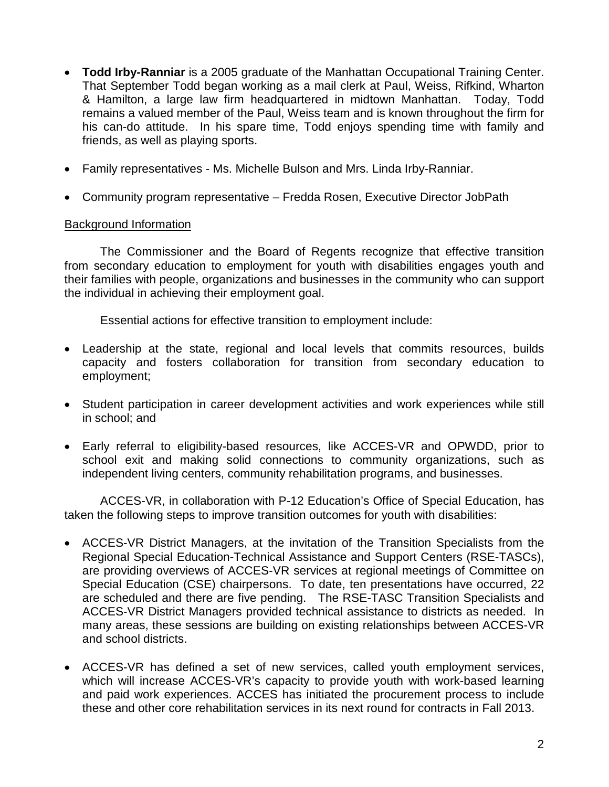- **Todd Irby-Ranniar** is a 2005 graduate of the Manhattan Occupational Training Center. That September Todd began working as a mail clerk at Paul, Weiss, Rifkind, Wharton & Hamilton, a large law firm headquartered in midtown Manhattan. Today, Todd remains a valued member of the Paul, Weiss team and is known throughout the firm for his can-do attitude. In his spare time, Todd enjoys spending time with family and friends, as well as playing sports.
- Family representatives Ms. Michelle Bulson and Mrs. Linda Irby-Ranniar.
- Community program representative Fredda Rosen, Executive Director JobPath

## Background Information

The Commissioner and the Board of Regents recognize that effective transition from secondary education to employment for youth with disabilities engages youth and their families with people, organizations and businesses in the community who can support the individual in achieving their employment goal.

Essential actions for effective transition to employment include:

- Leadership at the state, regional and local levels that commits resources, builds capacity and fosters collaboration for transition from secondary education to employment;
- Student participation in career development activities and work experiences while still in school; and
- Early referral to eligibility-based resources, like ACCES-VR and OPWDD, prior to school exit and making solid connections to community organizations, such as independent living centers, community rehabilitation programs, and businesses.

ACCES-VR, in collaboration with P-12 Education's Office of Special Education, has taken the following steps to improve transition outcomes for youth with disabilities:

- ACCES-VR District Managers, at the invitation of the Transition Specialists from the Regional Special Education-Technical Assistance and Support Centers (RSE-TASCs), are providing overviews of ACCES-VR services at regional meetings of Committee on Special Education (CSE) chairpersons. To date, ten presentations have occurred, 22 are scheduled and there are five pending. The RSE-TASC Transition Specialists and ACCES-VR District Managers provided technical assistance to districts as needed. In many areas, these sessions are building on existing relationships between ACCES-VR and school districts.
- ACCES-VR has defined a set of new services, called youth employment services, which will increase ACCES-VR's capacity to provide youth with work-based learning and paid work experiences. ACCES has initiated the procurement process to include these and other core rehabilitation services in its next round for contracts in Fall 2013.